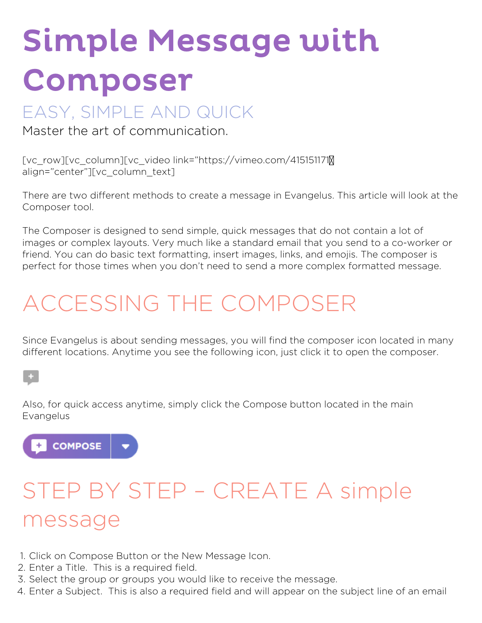# Simple Message with Composer

### EASY, SIMPLE AND QUICK

Master the art of communication.

[vc\_row][vc\_column][vc\_video link="https://vimeo.com/415151171″ align="center"][vc\_column\_text]

There are two different methods to create a message in Evangelus. This article will look at the Composer tool.

The Composer is designed to send simple, quick messages that do not contain a lot of images or complex layouts. Very much like a standard email that you send to a co-worker or friend. You can do basic text formatting, insert images, links, and emojis. The composer is perfect for those times when you don't need to send a more complex formatted message.

### **ACCESSING THE COMPOSER**

Since Evangelus is about sending messages, you will find the composer icon located in many different locations. Anytime you see the following icon, just click it to open the composer.

#### $+$

Also, for quick access anytime, simply click the Compose button located in the main Evangelus



## **STEP BY STEP – CREATE A simple message**

- 1. Click on Compose Button or the New Message Icon.
- 2. Enter a Title. This is a required field.
- 3. Select the group or groups you would like to receive the message.
- 4. Enter a Subject. This is also a required field and will appear on the subject line of an email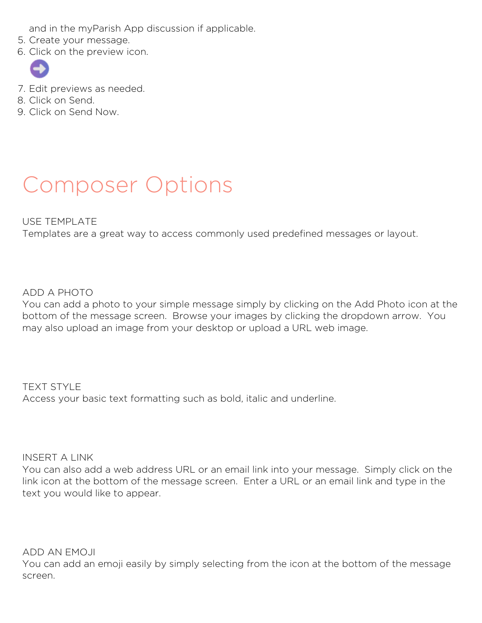and in the myParish App discussion if applicable.

- 5. Create your message.
- 6. Click on the preview icon.



- 7. Edit previews as needed.
- 8. Click on Send.
- 9. Click on Send Now.

### **Composer Options**

#### USE TEMPLATE

Templates are a great way to access commonly used predefined messages or layout.

ADD A PHOTO

You can add a photo to your simple message simply by clicking on the Add Photo icon at the bottom of the message screen. Browse your images by clicking the dropdown arrow. You may also upload an image from your desktop or upload a URL web image.

TEXT STYLE Access your basic text formatting such as bold, italic and underline.

INSERT A LINK

You can also add a web address URL or an email link into your message. Simply click on the link icon at the bottom of the message screen. Enter a URL or an email link and type in the text you would like to appear.

ADD AN EMOJI

You can add an emoji easily by simply selecting from the icon at the bottom of the message screen.